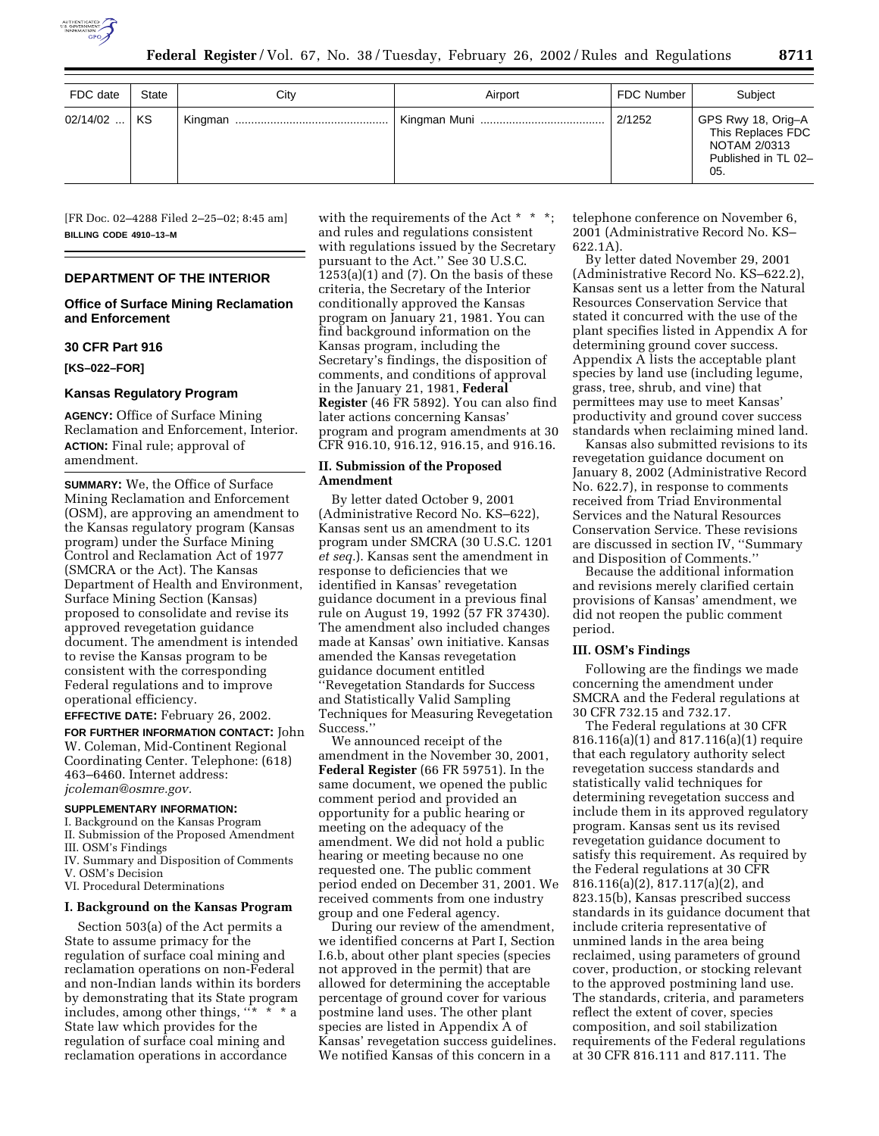

| FDC date   | State     | City | Airport | <b>FDC Number</b> | Subject                                                                               |
|------------|-----------|------|---------|-------------------|---------------------------------------------------------------------------------------|
| $02/14/02$ | <b>KS</b> |      |         | 2/1252            | GPS Rwy 18, Orig-A<br>This Replaces FDC<br>NOTAM 2/0313<br>Published in TL 02-<br>05. |

[FR Doc. 02–4288 Filed 2–25–02; 8:45 am] **BILLING CODE 4910–13–M**

# **DEPARTMENT OF THE INTERIOR**

# **Office of Surface Mining Reclamation and Enforcement**

# **30 CFR Part 916**

**[KS–022–FOR]**

## **Kansas Regulatory Program**

**AGENCY:** Office of Surface Mining Reclamation and Enforcement, Interior. **ACTION:** Final rule; approval of amendment.

**SUMMARY:** We, the Office of Surface Mining Reclamation and Enforcement (OSM), are approving an amendment to the Kansas regulatory program (Kansas program) under the Surface Mining Control and Reclamation Act of 1977 (SMCRA or the Act). The Kansas Department of Health and Environment, Surface Mining Section (Kansas) proposed to consolidate and revise its approved revegetation guidance document. The amendment is intended to revise the Kansas program to be consistent with the corresponding Federal regulations and to improve operational efficiency.

**EFFECTIVE DATE:** February 26, 2002.

**FOR FURTHER INFORMATION CONTACT:** John W. Coleman, Mid-Continent Regional Coordinating Center. Telephone: (618) 463–6460. Internet address: *jcoleman@osmre.gov.*

# **SUPPLEMENTARY INFORMATION:**

I. Background on the Kansas Program II. Submission of the Proposed Amendment

III. OSM's Findings IV. Summary and Disposition of Comments

V. OSM's Decision

VI. Procedural Determinations

### **I. Background on the Kansas Program**

Section 503(a) of the Act permits a State to assume primacy for the regulation of surface coal mining and reclamation operations on non-Federal and non-Indian lands within its borders by demonstrating that its State program includes, among other things,  $\cdots$  \* \* \* a State law which provides for the regulation of surface coal mining and reclamation operations in accordance

with the requirements of the Act \* \* \*; and rules and regulations consistent with regulations issued by the Secretary pursuant to the Act.'' See 30 U.S.C.  $1253(a)(1)$  and  $(7)$ . On the basis of these criteria, the Secretary of the Interior conditionally approved the Kansas program on January 21, 1981. You can find background information on the Kansas program, including the Secretary's findings, the disposition of comments, and conditions of approval in the January 21, 1981, **Federal Register** (46 FR 5892). You can also find later actions concerning Kansas' program and program amendments at 30 CFR 916.10, 916.12, 916.15, and 916.16.

# **II. Submission of the Proposed Amendment**

By letter dated October 9, 2001 (Administrative Record No. KS–622), Kansas sent us an amendment to its program under SMCRA (30 U.S.C. 1201 *et seq.*). Kansas sent the amendment in response to deficiencies that we identified in Kansas' revegetation guidance document in a previous final rule on August 19, 1992 (57 FR 37430). The amendment also included changes made at Kansas' own initiative. Kansas amended the Kansas revegetation guidance document entitled ''Revegetation Standards for Success and Statistically Valid Sampling Techniques for Measuring Revegetation Success.''

We announced receipt of the amendment in the November 30, 2001, **Federal Register** (66 FR 59751). In the same document, we opened the public comment period and provided an opportunity for a public hearing or meeting on the adequacy of the amendment. We did not hold a public hearing or meeting because no one requested one. The public comment period ended on December 31, 2001. We received comments from one industry group and one Federal agency.

During our review of the amendment, we identified concerns at Part I, Section I.6.b, about other plant species (species not approved in the permit) that are allowed for determining the acceptable percentage of ground cover for various postmine land uses. The other plant species are listed in Appendix A of Kansas' revegetation success guidelines. We notified Kansas of this concern in a

telephone conference on November 6, 2001 (Administrative Record No. KS– 622.1A).

By letter dated November 29, 2001 (Administrative Record No. KS–622.2), Kansas sent us a letter from the Natural Resources Conservation Service that stated it concurred with the use of the plant specifies listed in Appendix A for determining ground cover success. Appendix A lists the acceptable plant species by land use (including legume, grass, tree, shrub, and vine) that permittees may use to meet Kansas' productivity and ground cover success standards when reclaiming mined land.

Kansas also submitted revisions to its revegetation guidance document on January 8, 2002 (Administrative Record No. 622.7), in response to comments received from Triad Environmental Services and the Natural Resources Conservation Service. These revisions are discussed in section IV, ''Summary and Disposition of Comments.''

Because the additional information and revisions merely clarified certain provisions of Kansas' amendment, we did not reopen the public comment period.

## **III. OSM's Findings**

Following are the findings we made concerning the amendment under SMCRA and the Federal regulations at 30 CFR 732.15 and 732.17.

The Federal regulations at 30 CFR 816.116(a)(1) and 817.116(a)(1) require that each regulatory authority select revegetation success standards and statistically valid techniques for determining revegetation success and include them in its approved regulatory program. Kansas sent us its revised revegetation guidance document to satisfy this requirement. As required by the Federal regulations at 30 CFR 816.116(a)(2), 817.117(a)(2), and 823.15(b), Kansas prescribed success standards in its guidance document that include criteria representative of unmined lands in the area being reclaimed, using parameters of ground cover, production, or stocking relevant to the approved postmining land use. The standards, criteria, and parameters reflect the extent of cover, species composition, and soil stabilization requirements of the Federal regulations at 30 CFR 816.111 and 817.111. The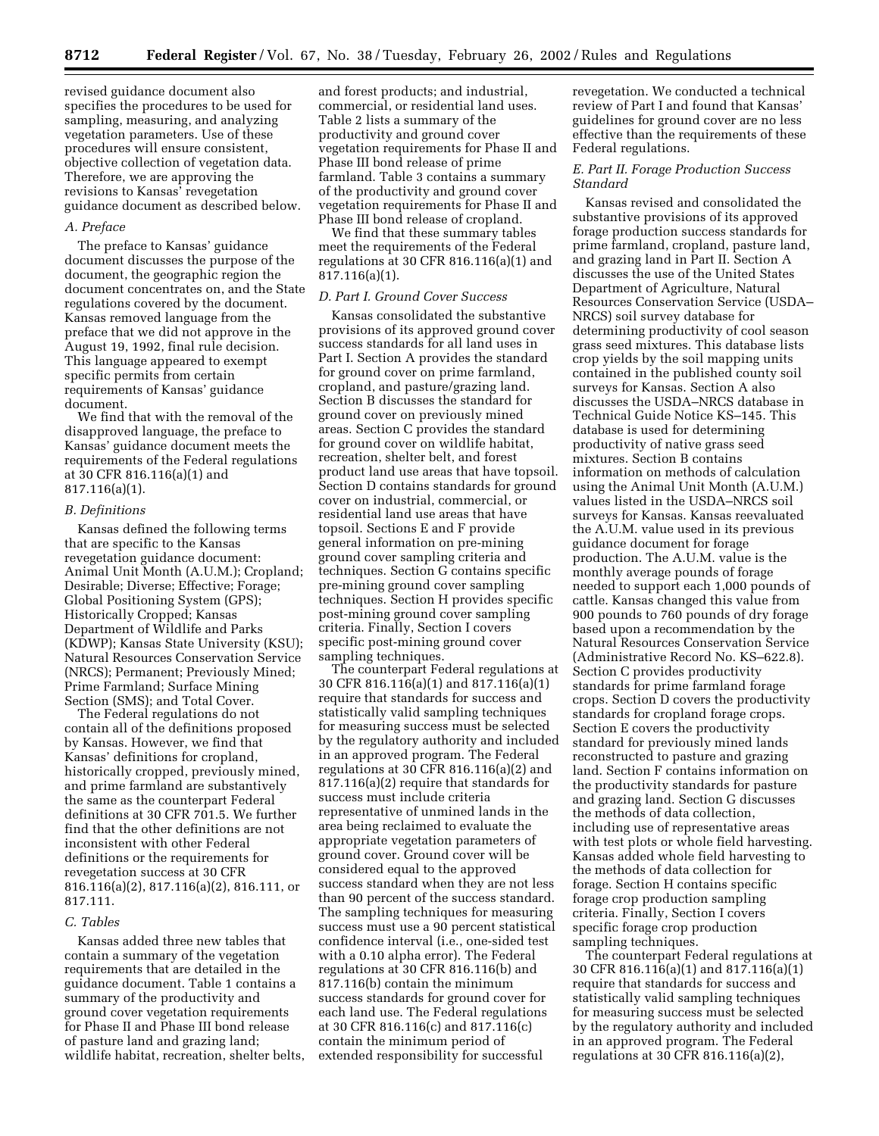revised guidance document also specifies the procedures to be used for sampling, measuring, and analyzing vegetation parameters. Use of these procedures will ensure consistent, objective collection of vegetation data. Therefore, we are approving the revisions to Kansas' revegetation guidance document as described below.

## *A. Preface*

The preface to Kansas' guidance document discusses the purpose of the document, the geographic region the document concentrates on, and the State regulations covered by the document. Kansas removed language from the preface that we did not approve in the August 19, 1992, final rule decision. This language appeared to exempt specific permits from certain requirements of Kansas' guidance document.

We find that with the removal of the disapproved language, the preface to Kansas' guidance document meets the requirements of the Federal regulations at 30 CFR 816.116(a)(1) and 817.116(a)(1).

### *B. Definitions*

Kansas defined the following terms that are specific to the Kansas revegetation guidance document: Animal Unit Month (A.U.M.); Cropland; Desirable; Diverse; Effective; Forage; Global Positioning System (GPS); Historically Cropped; Kansas Department of Wildlife and Parks (KDWP); Kansas State University (KSU); Natural Resources Conservation Service (NRCS); Permanent; Previously Mined; Prime Farmland; Surface Mining Section (SMS); and Total Cover.

The Federal regulations do not contain all of the definitions proposed by Kansas. However, we find that Kansas' definitions for cropland, historically cropped, previously mined, and prime farmland are substantively the same as the counterpart Federal definitions at 30 CFR 701.5. We further find that the other definitions are not inconsistent with other Federal definitions or the requirements for revegetation success at 30 CFR 816.116(a)(2), 817.116(a)(2), 816.111, or 817.111.

### *C. Tables*

Kansas added three new tables that contain a summary of the vegetation requirements that are detailed in the guidance document. Table 1 contains a summary of the productivity and ground cover vegetation requirements for Phase II and Phase III bond release of pasture land and grazing land; wildlife habitat, recreation, shelter belts, and forest products; and industrial, commercial, or residential land uses. Table 2 lists a summary of the productivity and ground cover vegetation requirements for Phase II and Phase III bond release of prime farmland. Table 3 contains a summary of the productivity and ground cover vegetation requirements for Phase II and Phase III bond release of cropland.

We find that these summary tables meet the requirements of the Federal regulations at 30 CFR 816.116(a)(1) and 817.116(a)(1).

# *D. Part I. Ground Cover Success*

Kansas consolidated the substantive provisions of its approved ground cover success standards for all land uses in Part I. Section A provides the standard for ground cover on prime farmland, cropland, and pasture/grazing land. Section B discusses the standard for ground cover on previously mined areas. Section C provides the standard for ground cover on wildlife habitat, recreation, shelter belt, and forest product land use areas that have topsoil. Section D contains standards for ground cover on industrial, commercial, or residential land use areas that have topsoil. Sections E and F provide general information on pre-mining ground cover sampling criteria and techniques. Section G contains specific pre-mining ground cover sampling techniques. Section H provides specific post-mining ground cover sampling criteria. Finally, Section I covers specific post-mining ground cover sampling techniques.

The counterpart Federal regulations at 30 CFR 816.116(a)(1) and 817.116(a)(1) require that standards for success and statistically valid sampling techniques for measuring success must be selected by the regulatory authority and included in an approved program. The Federal regulations at 30 CFR 816.116(a)(2) and 817.116(a)(2) require that standards for success must include criteria representative of unmined lands in the area being reclaimed to evaluate the appropriate vegetation parameters of ground cover. Ground cover will be considered equal to the approved success standard when they are not less than 90 percent of the success standard. The sampling techniques for measuring success must use a 90 percent statistical confidence interval (i.e., one-sided test with a 0.10 alpha error). The Federal regulations at 30 CFR 816.116(b) and 817.116(b) contain the minimum success standards for ground cover for each land use. The Federal regulations at 30 CFR 816.116(c) and 817.116(c) contain the minimum period of extended responsibility for successful

revegetation. We conducted a technical review of Part I and found that Kansas' guidelines for ground cover are no less effective than the requirements of these Federal regulations.

## *E. Part II. Forage Production Success Standard*

Kansas revised and consolidated the substantive provisions of its approved forage production success standards for prime farmland, cropland, pasture land, and grazing land in Part II. Section A discusses the use of the United States Department of Agriculture, Natural Resources Conservation Service (USDA– NRCS) soil survey database for determining productivity of cool season grass seed mixtures. This database lists crop yields by the soil mapping units contained in the published county soil surveys for Kansas. Section A also discusses the USDA–NRCS database in Technical Guide Notice KS–145. This database is used for determining productivity of native grass seed mixtures. Section B contains information on methods of calculation using the Animal Unit Month (A.U.M.) values listed in the USDA–NRCS soil surveys for Kansas. Kansas reevaluated the A.U.M. value used in its previous guidance document for forage production. The A.U.M. value is the monthly average pounds of forage needed to support each 1,000 pounds of cattle. Kansas changed this value from 900 pounds to 760 pounds of dry forage based upon a recommendation by the Natural Resources Conservation Service (Administrative Record No. KS–622.8). Section C provides productivity standards for prime farmland forage crops. Section D covers the productivity standards for cropland forage crops. Section E covers the productivity standard for previously mined lands reconstructed to pasture and grazing land. Section F contains information on the productivity standards for pasture and grazing land. Section G discusses the methods of data collection, including use of representative areas with test plots or whole field harvesting. Kansas added whole field harvesting to the methods of data collection for forage. Section H contains specific forage crop production sampling criteria. Finally, Section I covers specific forage crop production sampling techniques.

The counterpart Federal regulations at 30 CFR 816.116(a)(1) and 817.116(a)(1) require that standards for success and statistically valid sampling techniques for measuring success must be selected by the regulatory authority and included in an approved program. The Federal regulations at 30 CFR 816.116(a)(2),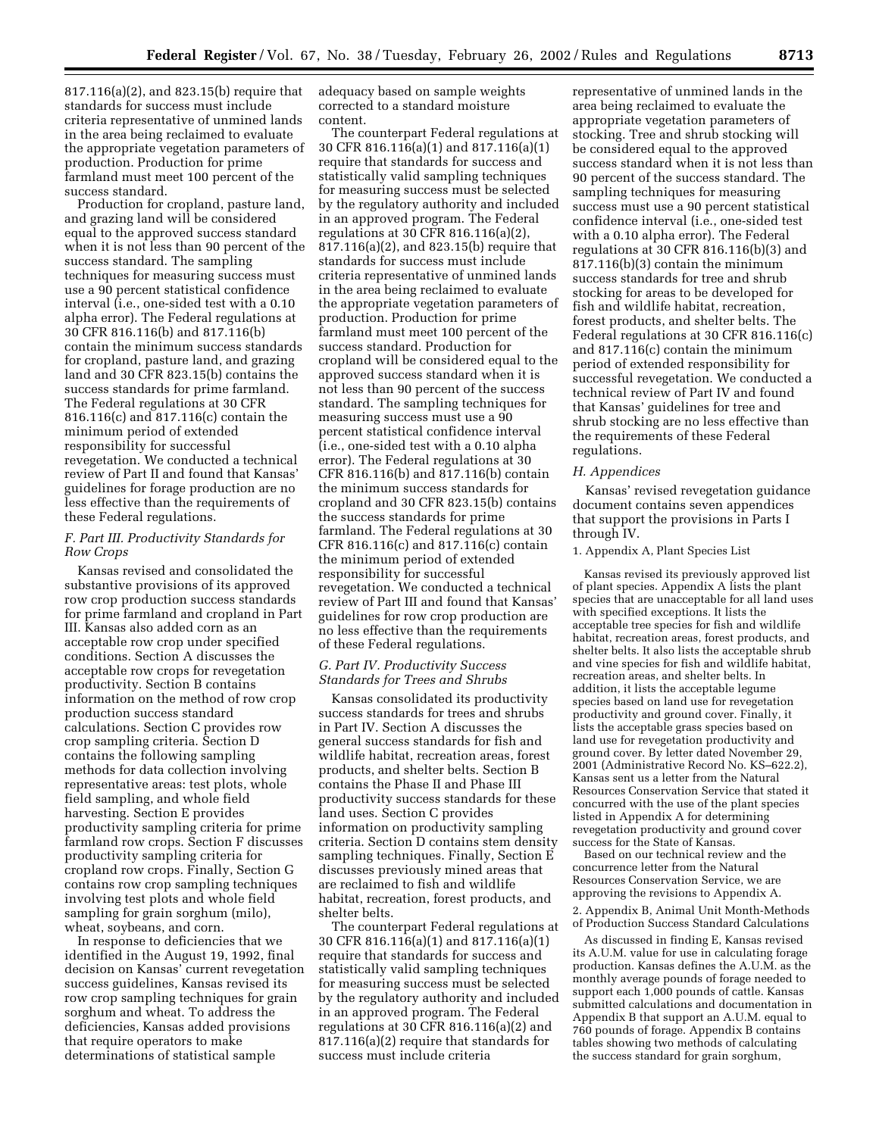817.116(a)(2), and 823.15(b) require that standards for success must include criteria representative of unmined lands in the area being reclaimed to evaluate the appropriate vegetation parameters of production. Production for prime farmland must meet 100 percent of the success standard.

Production for cropland, pasture land, and grazing land will be considered equal to the approved success standard when it is not less than 90 percent of the success standard. The sampling techniques for measuring success must use a 90 percent statistical confidence interval (i.e., one-sided test with a 0.10 alpha error). The Federal regulations at 30 CFR 816.116(b) and 817.116(b) contain the minimum success standards for cropland, pasture land, and grazing land and 30 CFR 823.15(b) contains the success standards for prime farmland. The Federal regulations at 30 CFR 816.116(c) and 817.116(c) contain the minimum period of extended responsibility for successful revegetation. We conducted a technical review of Part II and found that Kansas' guidelines for forage production are no less effective than the requirements of these Federal regulations.

## *F. Part III. Productivity Standards for Row Crops*

Kansas revised and consolidated the substantive provisions of its approved row crop production success standards for prime farmland and cropland in Part III. Kansas also added corn as an acceptable row crop under specified conditions. Section A discusses the acceptable row crops for revegetation productivity. Section B contains information on the method of row crop production success standard calculations. Section C provides row crop sampling criteria. Section D contains the following sampling methods for data collection involving representative areas: test plots, whole field sampling, and whole field harvesting. Section E provides productivity sampling criteria for prime farmland row crops. Section F discusses productivity sampling criteria for cropland row crops. Finally, Section G contains row crop sampling techniques involving test plots and whole field sampling for grain sorghum (milo), wheat, soybeans, and corn.

In response to deficiencies that we identified in the August 19, 1992, final decision on Kansas' current revegetation success guidelines, Kansas revised its row crop sampling techniques for grain sorghum and wheat. To address the deficiencies, Kansas added provisions that require operators to make determinations of statistical sample

adequacy based on sample weights corrected to a standard moisture content.

The counterpart Federal regulations at 30 CFR 816.116(a)(1) and 817.116(a)(1) require that standards for success and statistically valid sampling techniques for measuring success must be selected by the regulatory authority and included in an approved program. The Federal regulations at 30 CFR 816.116(a)(2), 817.116(a)(2), and 823.15(b) require that standards for success must include criteria representative of unmined lands in the area being reclaimed to evaluate the appropriate vegetation parameters of production. Production for prime farmland must meet 100 percent of the success standard. Production for cropland will be considered equal to the approved success standard when it is not less than 90 percent of the success standard. The sampling techniques for measuring success must use a 90 percent statistical confidence interval (i.e., one-sided test with a 0.10 alpha error). The Federal regulations at 30 CFR 816.116(b) and 817.116(b) contain the minimum success standards for cropland and 30 CFR 823.15(b) contains the success standards for prime farmland. The Federal regulations at 30 CFR 816.116(c) and 817.116(c) contain the minimum period of extended responsibility for successful revegetation. We conducted a technical review of Part III and found that Kansas' guidelines for row crop production are no less effective than the requirements of these Federal regulations.

## *G. Part IV. Productivity Success Standards for Trees and Shrubs*

Kansas consolidated its productivity success standards for trees and shrubs in Part IV. Section A discusses the general success standards for fish and wildlife habitat, recreation areas, forest products, and shelter belts. Section B contains the Phase II and Phase III productivity success standards for these land uses. Section C provides information on productivity sampling criteria. Section D contains stem density sampling techniques. Finally, Section E discusses previously mined areas that are reclaimed to fish and wildlife habitat, recreation, forest products, and shelter belts.

The counterpart Federal regulations at 30 CFR 816.116(a)(1) and 817.116(a)(1) require that standards for success and statistically valid sampling techniques for measuring success must be selected by the regulatory authority and included in an approved program. The Federal regulations at 30 CFR 816.116(a)(2) and 817.116(a)(2) require that standards for success must include criteria

representative of unmined lands in the area being reclaimed to evaluate the appropriate vegetation parameters of stocking. Tree and shrub stocking will be considered equal to the approved success standard when it is not less than 90 percent of the success standard. The sampling techniques for measuring success must use a 90 percent statistical confidence interval (i.e., one-sided test with a 0.10 alpha error). The Federal regulations at 30 CFR 816.116(b)(3) and 817.116(b)(3) contain the minimum success standards for tree and shrub stocking for areas to be developed for fish and wildlife habitat, recreation, forest products, and shelter belts. The Federal regulations at 30 CFR 816.116(c) and 817.116(c) contain the minimum period of extended responsibility for successful revegetation. We conducted a technical review of Part IV and found that Kansas' guidelines for tree and shrub stocking are no less effective than the requirements of these Federal regulations.

#### *H. Appendices*

Kansas' revised revegetation guidance document contains seven appendices that support the provisions in Parts I through IV.

#### 1. Appendix A, Plant Species List

Kansas revised its previously approved list of plant species. Appendix A lists the plant species that are unacceptable for all land uses with specified exceptions. It lists the acceptable tree species for fish and wildlife habitat, recreation areas, forest products, and shelter belts. It also lists the acceptable shrub and vine species for fish and wildlife habitat, recreation areas, and shelter belts. In addition, it lists the acceptable legume species based on land use for revegetation productivity and ground cover. Finally, it lists the acceptable grass species based on land use for revegetation productivity and ground cover. By letter dated November 29, 2001 (Administrative Record No. KS–622.2), Kansas sent us a letter from the Natural Resources Conservation Service that stated it concurred with the use of the plant species listed in Appendix A for determining revegetation productivity and ground cover success for the State of Kansas.

Based on our technical review and the concurrence letter from the Natural Resources Conservation Service, we are approving the revisions to Appendix A. 2. Appendix B, Animal Unit Month-Methods of Production Success Standard Calculations

As discussed in finding E, Kansas revised its A.U.M. value for use in calculating forage production. Kansas defines the A.U.M. as the monthly average pounds of forage needed to support each 1,000 pounds of cattle. Kansas submitted calculations and documentation in Appendix B that support an A.U.M. equal to 760 pounds of forage. Appendix B contains tables showing two methods of calculating the success standard for grain sorghum,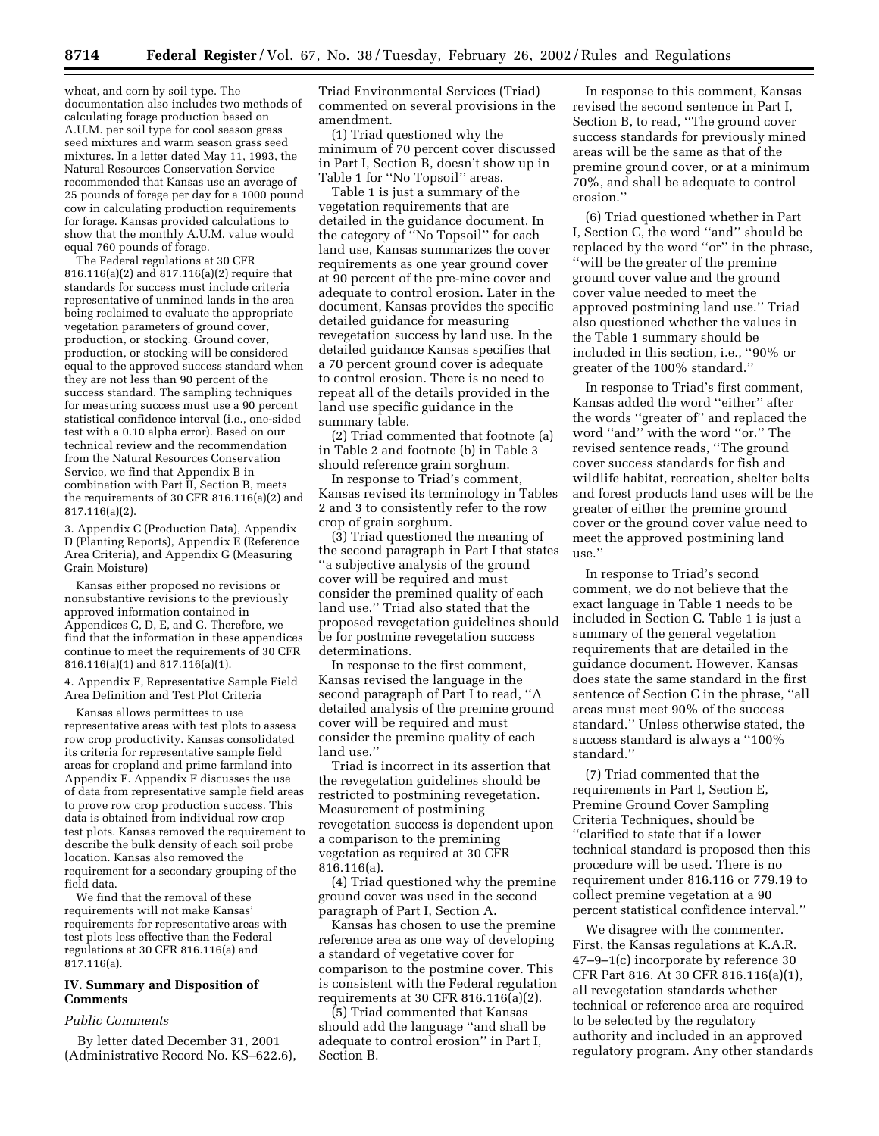wheat, and corn by soil type. The documentation also includes two methods of calculating forage production based on A.U.M. per soil type for cool season grass seed mixtures and warm season grass seed mixtures. In a letter dated May 11, 1993, the Natural Resources Conservation Service recommended that Kansas use an average of 25 pounds of forage per day for a 1000 pound cow in calculating production requirements for forage. Kansas provided calculations to show that the monthly A.U.M. value would equal 760 pounds of forage.

The Federal regulations at 30 CFR 816.116(a)(2) and  $817.116(a)(2)$  require that standards for success must include criteria representative of unmined lands in the area being reclaimed to evaluate the appropriate vegetation parameters of ground cover, production, or stocking. Ground cover, production, or stocking will be considered equal to the approved success standard when they are not less than 90 percent of the success standard. The sampling techniques for measuring success must use a 90 percent statistical confidence interval (i.e., one-sided test with a 0.10 alpha error). Based on our technical review and the recommendation from the Natural Resources Conservation Service, we find that Appendix B in combination with Part II, Section B, meets the requirements of 30 CFR 816.116(a)(2) and 817.116(a)(2).

3. Appendix C (Production Data), Appendix D (Planting Reports), Appendix E (Reference Area Criteria), and Appendix G (Measuring Grain Moisture)

Kansas either proposed no revisions or nonsubstantive revisions to the previously approved information contained in Appendices C, D, E, and G. Therefore, we find that the information in these appendices continue to meet the requirements of 30 CFR 816.116(a)(1) and 817.116(a)(1).

4. Appendix F, Representative Sample Field Area Definition and Test Plot Criteria

Kansas allows permittees to use representative areas with test plots to assess row crop productivity. Kansas consolidated its criteria for representative sample field areas for cropland and prime farmland into Appendix F. Appendix F discusses the use of data from representative sample field areas to prove row crop production success. This data is obtained from individual row crop test plots. Kansas removed the requirement to describe the bulk density of each soil probe location. Kansas also removed the requirement for a secondary grouping of the field data.

We find that the removal of these requirements will not make Kansas' requirements for representative areas with test plots less effective than the Federal regulations at 30 CFR 816.116(a) and 817.116(a).

# **IV. Summary and Disposition of Comments**

#### *Public Comments*

By letter dated December 31, 2001 (Administrative Record No. KS–622.6), Triad Environmental Services (Triad) commented on several provisions in the amendment.

(1) Triad questioned why the minimum of 70 percent cover discussed in Part I, Section B, doesn't show up in Table 1 for ''No Topsoil'' areas.

Table 1 is just a summary of the vegetation requirements that are detailed in the guidance document. In the category of ''No Topsoil'' for each land use, Kansas summarizes the cover requirements as one year ground cover at 90 percent of the pre-mine cover and adequate to control erosion. Later in the document, Kansas provides the specific detailed guidance for measuring revegetation success by land use. In the detailed guidance Kansas specifies that a 70 percent ground cover is adequate to control erosion. There is no need to repeat all of the details provided in the land use specific guidance in the summary table.

(2) Triad commented that footnote (a) in Table 2 and footnote (b) in Table 3 should reference grain sorghum.

In response to Triad's comment, Kansas revised its terminology in Tables 2 and 3 to consistently refer to the row crop of grain sorghum.

(3) Triad questioned the meaning of the second paragraph in Part I that states ''a subjective analysis of the ground cover will be required and must consider the premined quality of each land use.'' Triad also stated that the proposed revegetation guidelines should be for postmine revegetation success determinations.

In response to the first comment, Kansas revised the language in the second paragraph of Part I to read, ''A detailed analysis of the premine ground cover will be required and must consider the premine quality of each land use.''

Triad is incorrect in its assertion that the revegetation guidelines should be restricted to postmining revegetation. Measurement of postmining revegetation success is dependent upon a comparison to the premining vegetation as required at 30 CFR 816.116(a).

(4) Triad questioned why the premine ground cover was used in the second paragraph of Part I, Section A.

Kansas has chosen to use the premine reference area as one way of developing a standard of vegetative cover for comparison to the postmine cover. This is consistent with the Federal regulation requirements at 30 CFR 816.116(a)(2).

(5) Triad commented that Kansas should add the language ''and shall be adequate to control erosion'' in Part I, Section B.

In response to this comment, Kansas revised the second sentence in Part I, Section B, to read, ''The ground cover success standards for previously mined areas will be the same as that of the premine ground cover, or at a minimum 70%, and shall be adequate to control erosion.''

(6) Triad questioned whether in Part I, Section C, the word ''and'' should be replaced by the word ''or'' in the phrase, ''will be the greater of the premine ground cover value and the ground cover value needed to meet the approved postmining land use.'' Triad also questioned whether the values in the Table 1 summary should be included in this section, i.e., ''90% or greater of the 100% standard.''

In response to Triad's first comment, Kansas added the word ''either'' after the words ''greater of'' and replaced the word ''and'' with the word ''or.'' The revised sentence reads, ''The ground cover success standards for fish and wildlife habitat, recreation, shelter belts and forest products land uses will be the greater of either the premine ground cover or the ground cover value need to meet the approved postmining land use.''

In response to Triad's second comment, we do not believe that the exact language in Table 1 needs to be included in Section C. Table 1 is just a summary of the general vegetation requirements that are detailed in the guidance document. However, Kansas does state the same standard in the first sentence of Section C in the phrase, ''all areas must meet 90% of the success standard.'' Unless otherwise stated, the success standard is always a ''100% standard.''

(7) Triad commented that the requirements in Part I, Section E, Premine Ground Cover Sampling Criteria Techniques, should be ''clarified to state that if a lower technical standard is proposed then this procedure will be used. There is no requirement under 816.116 or 779.19 to collect premine vegetation at a 90 percent statistical confidence interval.''

We disagree with the commenter. First, the Kansas regulations at K.A.R. 47–9–1(c) incorporate by reference 30 CFR Part 816. At 30 CFR 816.116(a)(1), all revegetation standards whether technical or reference area are required to be selected by the regulatory authority and included in an approved regulatory program. Any other standards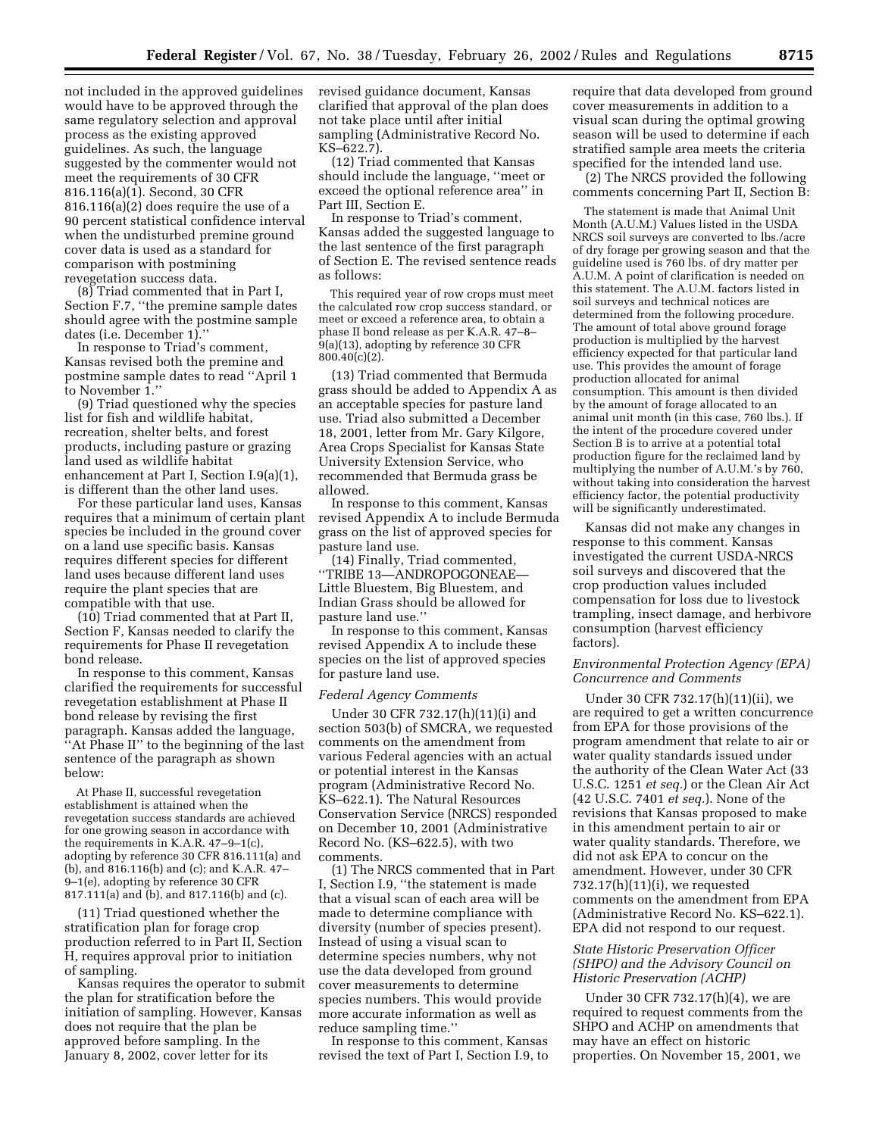not included in the approved guidelines would have to be approved through the same regulatory selection and approval process as the existing approved guidelines. As such, the language suggested by the commenter would not meet the requirements of 30 CFR 816.116(a)(1). Second, 30 CFR 816.116(a)(2) does require the use of a 90 percent statistical confidence interval when the undisturbed premine ground cover data is used as a standard for comparison with postmining revegetation success data.

(8) Triad commented that in Part I, Section F.7, ''the premine sample dates should agree with the postmine sample dates (i.e. December 1).''

In response to Triad's comment, Kansas revised both the premine and postmine sample dates to read ''April 1 to November 1."

(9) Triad questioned why the species list for fish and wildlife habitat, recreation, shelter belts, and forest products, including pasture or grazing land used as wildlife habitat enhancement at Part I, Section I.9(a)(1), is different than the other land uses.

For these particular land uses, Kansas requires that a minimum of certain plant species be included in the ground cover on a land use specific basis. Kansas requires different species for different land uses because different land uses require the plant species that are compatible with that use.

(10) Triad commented that at Part II, Section F, Kansas needed to clarify the requirements for Phase II revegetation bond release.

In response to this comment, Kansas clarified the requirements for successful revegetation establishment at Phase II bond release by revising the first paragraph. Kansas added the language, ''At Phase II'' to the beginning of the last sentence of the paragraph as shown below:

At Phase II, successful revegetation establishment is attained when the revegetation success standards are achieved for one growing season in accordance with the requirements in K.A.R. 47–9–1(c), adopting by reference 30 CFR 816.111(a) and (b), and 816.116(b) and (c); and K.A.R. 47– 9–1(e), adopting by reference 30 CFR 817.111(a) and (b), and 817.116(b) and (c).

(11) Triad questioned whether the stratification plan for forage crop production referred to in Part II, Section H, requires approval prior to initiation of sampling.

Kansas requires the operator to submit the plan for stratification before the initiation of sampling. However, Kansas does not require that the plan be approved before sampling. In the January 8, 2002, cover letter for its

revised guidance document, Kansas clarified that approval of the plan does not take place until after initial sampling (Administrative Record No. KS–622.7).

(12) Triad commented that Kansas should include the language, ''meet or exceed the optional reference area'' in Part III, Section E.

In response to Triad's comment, Kansas added the suggested language to the last sentence of the first paragraph of Section E. The revised sentence reads as follows:

This required year of row crops must meet the calculated row crop success standard, or meet or exceed a reference area, to obtain a phase II bond release as per K.A.R. 47–8–  $9(a)(13)$ , adopting by reference 30 CFR 800.40(c)(2).

(13) Triad commented that Bermuda grass should be added to Appendix A as an acceptable species for pasture land use. Triad also submitted a December 18, 2001, letter from Mr. Gary Kilgore, Area Crops Specialist for Kansas State University Extension Service, who recommended that Bermuda grass be allowed.

In response to this comment, Kansas revised Appendix A to include Bermuda grass on the list of approved species for pasture land use.

(14) Finally, Triad commented, ''TRIBE 13—ANDROPOGONEAE— Little Bluestem, Big Bluestem, and Indian Grass should be allowed for pasture land use.''

In response to this comment, Kansas revised Appendix A to include these species on the list of approved species for pasture land use.

#### *Federal Agency Comments*

Under 30 CFR 732.17(h)(11)(i) and section 503(b) of SMCRA, we requested comments on the amendment from various Federal agencies with an actual or potential interest in the Kansas program (Administrative Record No. KS–622.1). The Natural Resources Conservation Service (NRCS) responded on December 10, 2001 (Administrative Record No. (KS–622.5), with two comments.

(1) The NRCS commented that in Part I, Section I.9, ''the statement is made that a visual scan of each area will be made to determine compliance with diversity (number of species present). Instead of using a visual scan to determine species numbers, why not use the data developed from ground cover measurements to determine species numbers. This would provide more accurate information as well as reduce sampling time.''

In response to this comment, Kansas revised the text of Part I, Section I.9, to require that data developed from ground cover measurements in addition to a visual scan during the optimal growing season will be used to determine if each stratified sample area meets the criteria specified for the intended land use.

(2) The NRCS provided the following comments concerning Part II, Section B:

The statement is made that Animal Unit Month (A.U.M.) Values listed in the USDA NRCS soil surveys are converted to lbs./acre of dry forage per growing season and that the guideline used is 760 lbs. of dry matter per A.U.M. A point of clarification is needed on this statement. The A.U.M. factors listed in soil surveys and technical notices are determined from the following procedure. The amount of total above ground forage production is multiplied by the harvest efficiency expected for that particular land use. This provides the amount of forage production allocated for animal consumption. This amount is then divided by the amount of forage allocated to an animal unit month (in this case, 760 lbs.). If the intent of the procedure covered under Section B is to arrive at a potential total production figure for the reclaimed land by multiplying the number of A.U.M.'s by 760, without taking into consideration the harvest efficiency factor, the potential productivity will be significantly underestimated.

Kansas did not make any changes in response to this comment. Kansas investigated the current USDA-NRCS soil surveys and discovered that the crop production values included compensation for loss due to livestock trampling, insect damage, and herbivore consumption (harvest efficiency factors).

# *Environmental Protection Agency (EPA) Concurrence and Comments*

Under 30 CFR 732.17(h)(11)(ii), we are required to get a written concurrence from EPA for those provisions of the program amendment that relate to air or water quality standards issued under the authority of the Clean Water Act (33 U.S.C. 1251 *et seq.*) or the Clean Air Act (42 U.S.C. 7401 *et seq.*). None of the revisions that Kansas proposed to make in this amendment pertain to air or water quality standards. Therefore, we did not ask EPA to concur on the amendment. However, under 30 CFR 732.17(h)(11)(i), we requested comments on the amendment from EPA (Administrative Record No. KS–622.1). EPA did not respond to our request.

## *State Historic Preservation Officer (SHPO) and the Advisory Council on Historic Preservation (ACHP)*

Under 30 CFR 732.17(h)(4), we are required to request comments from the SHPO and ACHP on amendments that may have an effect on historic properties. On November 15, 2001, we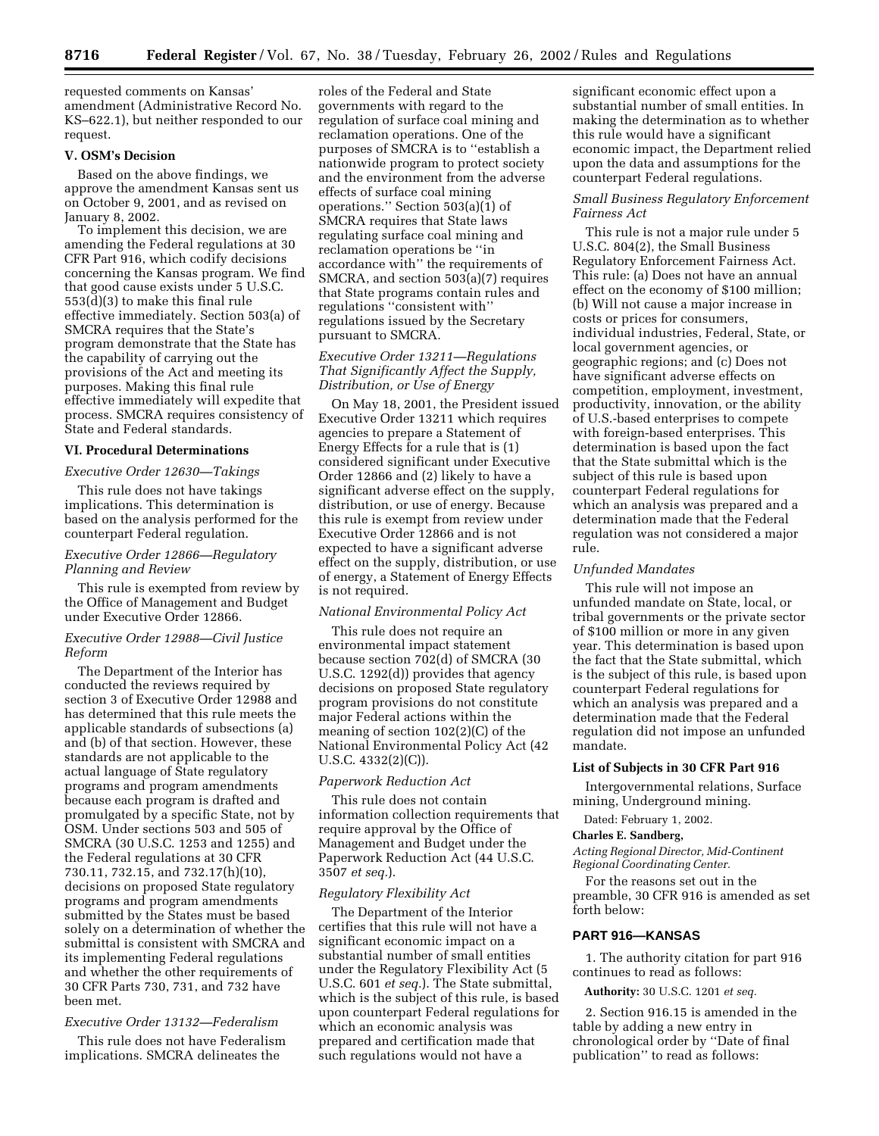requested comments on Kansas' amendment (Administrative Record No. KS–622.1), but neither responded to our request.

# **V. OSM's Decision**

Based on the above findings, we approve the amendment Kansas sent us on October 9, 2001, and as revised on January 8, 2002.

To implement this decision, we are amending the Federal regulations at 30 CFR Part 916, which codify decisions concerning the Kansas program. We find that good cause exists under 5 U.S.C. 553(d)(3) to make this final rule effective immediately. Section 503(a) of SMCRA requires that the State's program demonstrate that the State has the capability of carrying out the provisions of the Act and meeting its purposes. Making this final rule effective immediately will expedite that process. SMCRA requires consistency of State and Federal standards.

# **VI. Procedural Determinations**

#### *Executive Order 12630—Takings*

This rule does not have takings implications. This determination is based on the analysis performed for the counterpart Federal regulation.

## *Executive Order 12866—Regulatory Planning and Review*

This rule is exempted from review by the Office of Management and Budget under Executive Order 12866.

## *Executive Order 12988—Civil Justice Reform*

The Department of the Interior has conducted the reviews required by section 3 of Executive Order 12988 and has determined that this rule meets the applicable standards of subsections (a) and (b) of that section. However, these standards are not applicable to the actual language of State regulatory programs and program amendments because each program is drafted and promulgated by a specific State, not by OSM. Under sections 503 and 505 of SMCRA (30 U.S.C. 1253 and 1255) and the Federal regulations at 30 CFR 730.11, 732.15, and 732.17(h)(10), decisions on proposed State regulatory programs and program amendments submitted by the States must be based solely on a determination of whether the submittal is consistent with SMCRA and its implementing Federal regulations and whether the other requirements of 30 CFR Parts 730, 731, and 732 have been met.

#### *Executive Order 13132—Federalism*

This rule does not have Federalism implications. SMCRA delineates the

roles of the Federal and State governments with regard to the regulation of surface coal mining and reclamation operations. One of the purposes of SMCRA is to ''establish a nationwide program to protect society and the environment from the adverse effects of surface coal mining operations.'' Section 503(a)(1) of SMCRA requires that State laws regulating surface coal mining and reclamation operations be ''in accordance with'' the requirements of SMCRA, and section 503(a)(7) requires that State programs contain rules and regulations ''consistent with'' regulations issued by the Secretary pursuant to SMCRA.

# *Executive Order 13211—Regulations That Significantly Affect the Supply, Distribution, or Use of Energy*

On May 18, 2001, the President issued Executive Order 13211 which requires agencies to prepare a Statement of Energy Effects for a rule that is (1) considered significant under Executive Order 12866 and (2) likely to have a significant adverse effect on the supply, distribution, or use of energy. Because this rule is exempt from review under Executive Order 12866 and is not expected to have a significant adverse effect on the supply, distribution, or use of energy, a Statement of Energy Effects is not required.

### *National Environmental Policy Act*

This rule does not require an environmental impact statement because section 702(d) of SMCRA (30 U.S.C. 1292(d)) provides that agency decisions on proposed State regulatory program provisions do not constitute major Federal actions within the meaning of section 102(2)(C) of the National Environmental Policy Act (42 U.S.C. 4332(2)(C)).

## *Paperwork Reduction Act*

This rule does not contain information collection requirements that require approval by the Office of Management and Budget under the Paperwork Reduction Act (44 U.S.C. 3507 *et seq.*).

### *Regulatory Flexibility Act*

The Department of the Interior certifies that this rule will not have a significant economic impact on a substantial number of small entities under the Regulatory Flexibility Act (5 U.S.C. 601 *et seq.*). The State submittal, which is the subject of this rule, is based upon counterpart Federal regulations for which an economic analysis was prepared and certification made that such regulations would not have a

significant economic effect upon a substantial number of small entities. In making the determination as to whether this rule would have a significant economic impact, the Department relied upon the data and assumptions for the counterpart Federal regulations.

# *Small Business Regulatory Enforcement Fairness Act*

This rule is not a major rule under 5 U.S.C. 804(2), the Small Business Regulatory Enforcement Fairness Act. This rule: (a) Does not have an annual effect on the economy of \$100 million; (b) Will not cause a major increase in costs or prices for consumers, individual industries, Federal, State, or local government agencies, or geographic regions; and (c) Does not have significant adverse effects on competition, employment, investment, productivity, innovation, or the ability of U.S.-based enterprises to compete with foreign-based enterprises. This determination is based upon the fact that the State submittal which is the subject of this rule is based upon counterpart Federal regulations for which an analysis was prepared and a determination made that the Federal regulation was not considered a major rule.

### *Unfunded Mandates*

This rule will not impose an unfunded mandate on State, local, or tribal governments or the private sector of \$100 million or more in any given year. This determination is based upon the fact that the State submittal, which is the subject of this rule, is based upon counterpart Federal regulations for which an analysis was prepared and a determination made that the Federal regulation did not impose an unfunded mandate.

#### **List of Subjects in 30 CFR Part 916**

Intergovernmental relations, Surface mining, Underground mining.

Dated: February 1, 2002.

### **Charles E. Sandberg,**

*Acting Regional Director, Mid-Continent Regional Coordinating Center.*

For the reasons set out in the preamble, 30 CFR 916 is amended as set forth below:

### **PART 916—KANSAS**

1. The authority citation for part 916 continues to read as follows:

**Authority:** 30 U.S.C. 1201 *et seq.*

2. Section 916.15 is amended in the table by adding a new entry in chronological order by ''Date of final publication'' to read as follows: